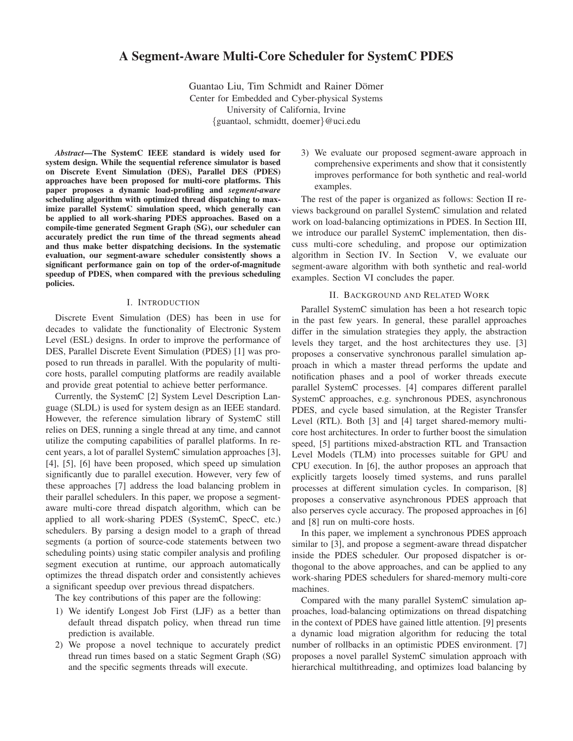# **A Segment-Aware Multi-Core Scheduler for SystemC PDES**

Guantao Liu, Tim Schmidt and Rainer Dömer Center for Embedded and Cyber-physical Systems University of California, Irvine {guantaol, schmidtt, doemer}@uci.edu

*Abstract***—The SystemC IEEE standard is widely used for system design. While the sequential reference simulator is based on Discrete Event Simulation (DES), Parallel DES (PDES) approaches have been proposed for multi-core platforms. This paper proposes a dynamic load-profiling and** *segment-aware* **scheduling algorithm with optimized thread dispatching to maximize parallel SystemC simulation speed, which generally can be applied to all work-sharing PDES approaches. Based on a compile-time generated Segment Graph (SG), our scheduler can accurately predict the run time of the thread segments ahead and thus make better dispatching decisions. In the systematic evaluation, our segment-aware scheduler consistently shows a significant performance gain on top of the order-of-magnitude speedup of PDES, when compared with the previous scheduling policies.**

## I. INTRODUCTION

Discrete Event Simulation (DES) has been in use for decades to validate the functionality of Electronic System Level (ESL) designs. In order to improve the performance of DES, Parallel Discrete Event Simulation (PDES) [1] was proposed to run threads in parallel. With the popularity of multicore hosts, parallel computing platforms are readily available and provide great potential to achieve better performance.

Currently, the SystemC [2] System Level Description Language (SLDL) is used for system design as an IEEE standard. However, the reference simulation library of SystemC still relies on DES, running a single thread at any time, and cannot utilize the computing capabilities of parallel platforms. In recent years, a lot of parallel SystemC simulation approaches [3], [4], [5], [6] have been proposed, which speed up simulation significantly due to parallel execution. However, very few of these approaches [7] address the load balancing problem in their parallel schedulers. In this paper, we propose a segmentaware multi-core thread dispatch algorithm, which can be applied to all work-sharing PDES (SystemC, SpecC, etc.) schedulers. By parsing a design model to a graph of thread segments (a portion of source-code statements between two scheduling points) using static compiler analysis and profiling segment execution at runtime, our approach automatically optimizes the thread dispatch order and consistently achieves a significant speedup over previous thread dispatchers.

The key contributions of this paper are the following:

- 1) We identify Longest Job First (LJF) as a better than default thread dispatch policy, when thread run time prediction is available.
- 2) We propose a novel technique to accurately predict thread run times based on a static Segment Graph (SG) and the specific segments threads will execute.

3) We evaluate our proposed segment-aware approach in comprehensive experiments and show that it consistently improves performance for both synthetic and real-world examples.

The rest of the paper is organized as follows: Section II reviews background on parallel SystemC simulation and related work on load-balancing optimizations in PDES. In Section III, we introduce our parallel SystemC implementation, then discuss multi-core scheduling, and propose our optimization algorithm in Section IV. In Section V, we evaluate our segment-aware algorithm with both synthetic and real-world examples. Section VI concludes the paper.

# II. BACKGROUND AND RELATED WORK

Parallel SystemC simulation has been a hot research topic in the past few years. In general, these parallel approaches differ in the simulation strategies they apply, the abstraction levels they target, and the host architectures they use. [3] proposes a conservative synchronous parallel simulation approach in which a master thread performs the update and notification phases and a pool of worker threads execute parallel SystemC processes. [4] compares different parallel SystemC approaches, e.g. synchronous PDES, asynchronous PDES, and cycle based simulation, at the Register Transfer Level (RTL). Both [3] and [4] target shared-memory multicore host architectures. In order to further boost the simulation speed, [5] partitions mixed-abstraction RTL and Transaction Level Models (TLM) into processes suitable for GPU and CPU execution. In [6], the author proposes an approach that explicitly targets loosely timed systems, and runs parallel processes at different simulation cycles. In comparison, [8] proposes a conservative asynchronous PDES approach that also perserves cycle accuracy. The proposed approaches in [6] and [8] run on multi-core hosts.

In this paper, we implement a synchronous PDES approach similar to [3], and propose a segment-aware thread dispatcher inside the PDES scheduler. Our proposed dispatcher is orthogonal to the above approaches, and can be applied to any work-sharing PDES schedulers for shared-memory multi-core machines.

Compared with the many parallel SystemC simulation approaches, load-balancing optimizations on thread dispatching in the context of PDES have gained little attention. [9] presents a dynamic load migration algorithm for reducing the total number of rollbacks in an optimistic PDES environment. [7] proposes a novel parallel SystemC simulation approach with hierarchical multithreading, and optimizes load balancing by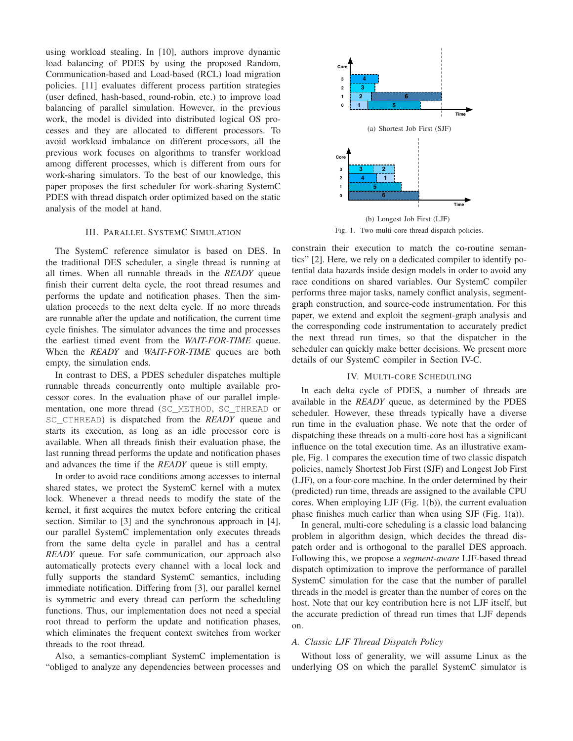using workload stealing. In [10], authors improve dynamic load balancing of PDES by using the proposed Random, Communication-based and Load-based (RCL) load migration policies. [11] evaluates different process partition strategies (user defined, hash-based, round-robin, etc.) to improve load balancing of parallel simulation. However, in the previous work, the model is divided into distributed logical OS processes and they are allocated to different processors. To avoid workload imbalance on different processors, all the previous work focuses on algorithms to transfer workload among different processes, which is different from ours for work-sharing simulators. To the best of our knowledge, this paper proposes the first scheduler for work-sharing SystemC PDES with thread dispatch order optimized based on the static analysis of the model at hand.

# III. PARALLEL SYSTEMC SIMULATION

The SystemC reference simulator is based on DES. In the traditional DES scheduler, a single thread is running at all times. When all runnable threads in the *READY* queue finish their current delta cycle, the root thread resumes and performs the update and notification phases. Then the simulation proceeds to the next delta cycle. If no more threads are runnable after the update and notification, the current time cycle finishes. The simulator advances the time and processes the earliest timed event from the *WAIT-FOR-TIME* queue. When the *READY* and *WAIT-FOR-TIME* queues are both empty, the simulation ends.

In contrast to DES, a PDES scheduler dispatches multiple runnable threads concurrently onto multiple available processor cores. In the evaluation phase of our parallel implementation, one more thread (SC\_METHOD, SC\_THREAD or SC\_CTHREAD) is dispatched from the *READY* queue and starts its execution, as long as an idle processor core is available. When all threads finish their evaluation phase, the last running thread performs the update and notification phases and advances the time if the *READY* queue is still empty.

In order to avoid race conditions among accesses to internal shared states, we protect the SystemC kernel with a mutex lock. Whenever a thread needs to modify the state of the kernel, it first acquires the mutex before entering the critical section. Similar to [3] and the synchronous approach in [4], our parallel SystemC implementation only executes threads from the same delta cycle in parallel and has a central *READY* queue. For safe communication, our approach also automatically protects every channel with a local lock and fully supports the standard SystemC semantics, including immediate notification. Differing from [3], our parallel kernel is symmetric and every thread can perform the scheduling functions. Thus, our implementation does not need a special root thread to perform the update and notification phases, which eliminates the frequent context switches from worker threads to the root thread.

Also, a semantics-compliant SystemC implementation is "obliged to analyze any dependencies between processes and



Fig. 1. Two multi-core thread dispatch policies.

constrain their execution to match the co-routine semantics" [2]. Here, we rely on a dedicated compiler to identify potential data hazards inside design models in order to avoid any race conditions on shared variables. Our SystemC compiler performs three major tasks, namely conflict analysis, segmentgraph construction, and source-code instrumentation. For this paper, we extend and exploit the segment-graph analysis and the corresponding code instrumentation to accurately predict the next thread run times, so that the dispatcher in the scheduler can quickly make better decisions. We present more details of our SystemC compiler in Section IV-C.

## IV. MULTI-CORE SCHEDULING

In each delta cycle of PDES, a number of threads are available in the *READY* queue, as determined by the PDES scheduler. However, these threads typically have a diverse run time in the evaluation phase. We note that the order of dispatching these threads on a multi-core host has a significant influence on the total execution time. As an illustrative example, Fig. 1 compares the execution time of two classic dispatch policies, namely Shortest Job First (SJF) and Longest Job First (LJF), on a four-core machine. In the order determined by their (predicted) run time, threads are assigned to the available CPU cores. When employing LJF (Fig. 1(b)), the current evaluation phase finishes much earlier than when using SJF (Fig. 1(a)).

In general, multi-core scheduling is a classic load balancing problem in algorithm design, which decides the thread dispatch order and is orthogonal to the parallel DES approach. Following this, we propose a *segment-aware* LJF-based thread dispatch optimization to improve the performance of parallel SystemC simulation for the case that the number of parallel threads in the model is greater than the number of cores on the host. Note that our key contribution here is not LJF itself, but the accurate prediction of thread run times that LJF depends on.

# *A. Classic LJF Thread Dispatch Policy*

Without loss of generality, we will assume Linux as the underlying OS on which the parallel SystemC simulator is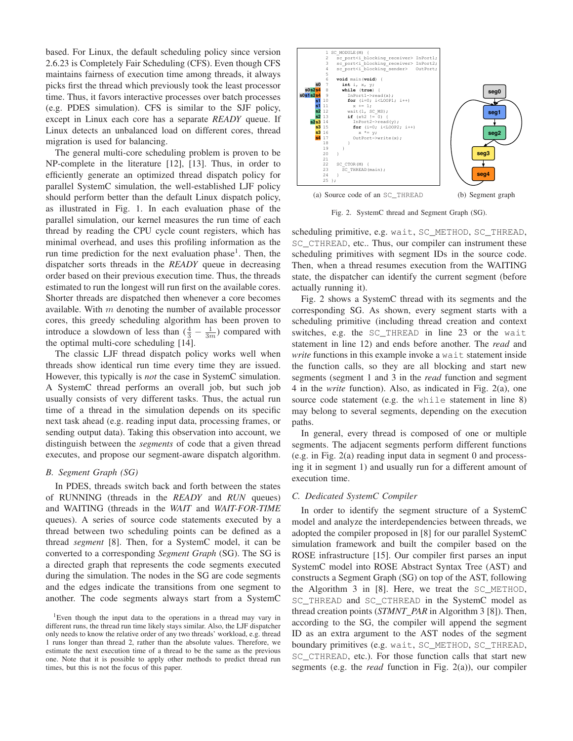based. For Linux, the default scheduling policy since version 2.6.23 is Completely Fair Scheduling (CFS). Even though CFS maintains fairness of execution time among threads, it always picks first the thread which previously took the least processor time. Thus, it favors interactive processes over batch processes (e.g. PDES simulation). CFS is similar to the SJF policy, except in Linux each core has a separate *READY* queue. If Linux detects an unbalanced load on different cores, thread migration is used for balancing.

The general multi-core scheduling problem is proven to be NP-complete in the literature [12], [13]. Thus, in order to efficiently generate an optimized thread dispatch policy for parallel SystemC simulation, the well-established LJF policy should perform better than the default Linux dispatch policy, as illustrated in Fig. 1. In each evaluation phase of the parallel simulation, our kernel measures the run time of each thread by reading the CPU cycle count registers, which has minimal overhead, and uses this profiling information as the run time prediction for the next evaluation phase<sup>1</sup>. Then, the dispatcher sorts threads in the *READY* queue in decreasing order based on their previous execution time. Thus, the threads estimated to run the longest will run first on the available cores. Shorter threads are dispatched then whenever a core becomes available. With  $m$  denoting the number of available processor cores, this greedy scheduling algorithm has been proven to introduce a slowdown of less than  $(\frac{4}{3} - \frac{1}{3m})$  compared with the optimal multi-core scheduling [14].

The classic LJF thread dispatch policy works well when threads show identical run time every time they are issued. However, this typically is *not* the case in SystemC simulation. A SystemC thread performs an overall job, but such job usually consists of very different tasks. Thus, the actual run time of a thread in the simulation depends on its specific next task ahead (e.g. reading input data, processing frames, or sending output data). Taking this observation into account, we distinguish between the *segments* of code that a given thread executes, and propose our segment-aware dispatch algorithm.

# *B. Segment Graph (SG)*

In PDES, threads switch back and forth between the states of RUNNING (threads in the *READY* and *RUN* queues) and WAITING (threads in the *WAIT* and *WAIT-FOR-TIME* queues). A series of source code statements executed by a thread between two scheduling points can be defined as a thread *segment* [8]. Then, for a SystemC model, it can be converted to a corresponding *Segment Graph* (SG). The SG is a directed graph that represents the code segments executed during the simulation. The nodes in the SG are code segments and the edges indicate the transitions from one segment to another. The code segments always start from a SystemC



Fig. 2. SystemC thread and Segment Graph (SG).

scheduling primitive, e.g. wait, SC\_METHOD, SC\_THREAD, SC\_CTHREAD, etc.. Thus, our compiler can instrument these scheduling primitives with segment IDs in the source code. Then, when a thread resumes execution from the WAITING state, the dispatcher can identify the current segment (before actually running it).

Fig. 2 shows a SystemC thread with its segments and the corresponding SG. As shown, every segment starts with a scheduling primitive (including thread creation and context switches, e.g. the SC\_THREAD in line 23 or the wait statement in line 12) and ends before another. The *read* and *write* functions in this example invoke a wait statement inside the function calls, so they are all blocking and start new segments (segment 1 and 3 in the *read* function and segment 4 in the *write* function). Also, as indicated in Fig. 2(a), one source code statement (e.g. the while statement in line 8) may belong to several segments, depending on the execution paths.

In general, every thread is composed of one or multiple segments. The adjacent segments perform different functions (e.g. in Fig. 2(a) reading input data in segment 0 and processing it in segment 1) and usually run for a different amount of execution time.

## *C. Dedicated SystemC Compiler*

In order to identify the segment structure of a SystemC model and analyze the interdependencies between threads, we adopted the compiler proposed in [8] for our parallel SystemC simulation framework and built the compiler based on the ROSE infrastructure [15]. Our compiler first parses an input SystemC model into ROSE Abstract Syntax Tree (AST) and constructs a Segment Graph (SG) on top of the AST, following the Algorithm 3 in [8]. Here, we treat the SC\_METHOD, SC\_THREAD and SC\_CTHREAD in the SystemC model as thread creation points (*STMNT PAR* in Algorithm 3 [8]). Then, according to the SG, the compiler will append the segment ID as an extra argument to the AST nodes of the segment boundary primitives (e.g. wait, SC\_METHOD, SC\_THREAD, SC\_CTHREAD, etc.). For those function calls that start new segments (e.g. the *read* function in Fig. 2(a)), our compiler

<sup>&</sup>lt;sup>1</sup>Even though the input data to the operations in a thread may vary in different runs, the thread run time likely stays similar. Also, the LJF dispatcher only needs to know the relative order of any two threads' workload, e.g. thread 1 runs longer than thread 2, rather than the absolute values. Therefore, we estimate the next execution time of a thread to be the same as the previous one. Note that it is possible to apply other methods to predict thread run times, but this is not the focus of this paper.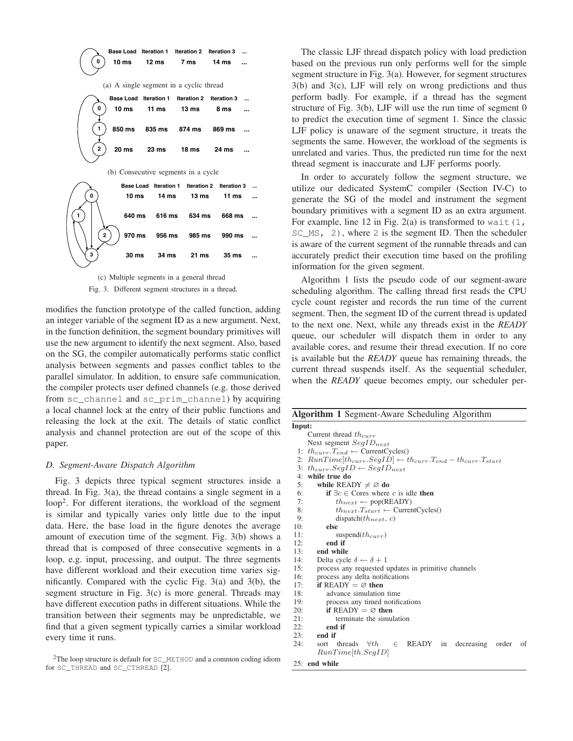

Fig. 3. Different segment structures in a thread.

modifies the function prototype of the called function, adding an integer variable of the segment ID as a new argument. Next, in the function definition, the segment boundary primitives will use the new argument to identify the next segment. Also, based on the SG, the compiler automatically performs static conflict analysis between segments and passes conflict tables to the parallel simulator. In addition, to ensure safe communication, the compiler protects user defined channels (e.g. those derived from sc\_channel and sc\_prim\_channel) by acquiring a local channel lock at the entry of their public functions and releasing the lock at the exit. The details of static conflict analysis and channel protection are out of the scope of this paper.

## *D. Segment-Aware Dispatch Algorithm*

Fig. 3 depicts three typical segment structures inside a thread. In Fig. 3(a), the thread contains a single segment in a loop<sup>2</sup>. For different iterations, the workload of the segment is similar and typically varies only little due to the input data. Here, the base load in the figure denotes the average amount of execution time of the segment. Fig. 3(b) shows a thread that is composed of three consecutive segments in a loop, e.g. input, processing, and output. The three segments have different workload and their execution time varies significantly. Compared with the cyclic Fig. 3(a) and 3(b), the segment structure in Fig. 3(c) is more general. Threads may have different execution paths in different situations. While the transition between their segments may be unpredictable, we find that a given segment typically carries a similar workload every time it runs.

The classic LJF thread dispatch policy with load prediction based on the previous run only performs well for the simple segment structure in Fig. 3(a). However, for segment structures 3(b) and 3(c), LJF will rely on wrong predictions and thus perform badly. For example, if a thread has the segment structure of Fig. 3(b), LJF will use the run time of segment 0 to predict the execution time of segment 1. Since the classic LJF policy is unaware of the segment structure, it treats the segments the same. However, the workload of the segments is unrelated and varies. Thus, the predicted run time for the next thread segment is inaccurate and LJF performs poorly.

In order to accurately follow the segment structure, we utilize our dedicated SystemC compiler (Section IV-C) to generate the SG of the model and instrument the segment boundary primitives with a segment ID as an extra argument. For example, line 12 in Fig. 2(a) is transformed to wait  $(1, 1)$  $SCMS, 2)$ , where 2 is the segment ID. Then the scheduler is aware of the current segment of the runnable threads and can accurately predict their execution time based on the profiling information for the given segment.

Algorithm 1 lists the pseudo code of our segment-aware scheduling algorithm. The calling thread first reads the CPU cycle count register and records the run time of the current segment. Then, the segment ID of the current thread is updated to the next one. Next, while any threads exist in the *READY* queue, our scheduler will dispatch them in order to any available cores, and resume their thread execution. If no core is available but the *READY* queue has remaining threads, the current thread suspends itself. As the sequential scheduler, when the *READY* queue becomes empty, our scheduler per-

| Algorithm 1 Segment-Aware Scheduling Algorithm                                    |  |  |  |  |  |  |  |  |
|-----------------------------------------------------------------------------------|--|--|--|--|--|--|--|--|
| Input:                                                                            |  |  |  |  |  |  |  |  |
| Current thread $th_{curr}$                                                        |  |  |  |  |  |  |  |  |
| Next segment $SegID_{next}$                                                       |  |  |  |  |  |  |  |  |
| 1: $th_{curr}.T_{end} \leftarrow$ CurrentCycles()                                 |  |  |  |  |  |  |  |  |
| 2: $RunTime[th_{curr}.SegID] \leftarrow th_{curr}.T_{end} - th_{curr}.T_{start}$  |  |  |  |  |  |  |  |  |
| 3: th <sub>curr</sub> .SegID $\leftarrow$ SegID <sub>next</sub>                   |  |  |  |  |  |  |  |  |
| 4: while true do                                                                  |  |  |  |  |  |  |  |  |
| 5:<br>while READY $\neq \emptyset$ do                                             |  |  |  |  |  |  |  |  |
| 6:<br><b>if</b> $\exists c \in \text{Cores}$ where c is idle <b>then</b>          |  |  |  |  |  |  |  |  |
| 7:<br>$th_{next} \leftarrow pop(READY)$                                           |  |  |  |  |  |  |  |  |
| 8:<br>${th}_{next}.T_{start} \leftarrow \text{CurrentCycles}()$                   |  |  |  |  |  |  |  |  |
| 9:<br>dispatch $(th_{next}, c)$                                                   |  |  |  |  |  |  |  |  |
| 10:<br>else                                                                       |  |  |  |  |  |  |  |  |
| 11:<br>suspend $(th_{curr})$                                                      |  |  |  |  |  |  |  |  |
| 12:<br>end if                                                                     |  |  |  |  |  |  |  |  |
| 13:<br>end while                                                                  |  |  |  |  |  |  |  |  |
| 14:<br>Delta cycle $\delta \leftarrow \delta + 1$                                 |  |  |  |  |  |  |  |  |
| 15:<br>process any requested updates in primitive channels                        |  |  |  |  |  |  |  |  |
| 16:<br>process any delta notifications                                            |  |  |  |  |  |  |  |  |
| 17:<br>if READY $= \emptyset$ then                                                |  |  |  |  |  |  |  |  |
| 18:<br>advance simulation time                                                    |  |  |  |  |  |  |  |  |
| 19:<br>process any timed notifications                                            |  |  |  |  |  |  |  |  |
| 20:<br>if READY $= \emptyset$ then                                                |  |  |  |  |  |  |  |  |
| 21:<br>terminate the simulation                                                   |  |  |  |  |  |  |  |  |
| 22:<br>end if                                                                     |  |  |  |  |  |  |  |  |
| 23:<br>end if                                                                     |  |  |  |  |  |  |  |  |
| 24:<br>READY in<br>sort threads $\forall th$<br>decreasing order<br>$\in$<br>- of |  |  |  |  |  |  |  |  |
| RunTime[th. SegID]                                                                |  |  |  |  |  |  |  |  |
| $25+$ end while                                                                   |  |  |  |  |  |  |  |  |

<sup>2</sup>The loop structure is default for SC\_METHOD and a common coding idiom for SC\_THREAD and SC\_CTHREAD [2].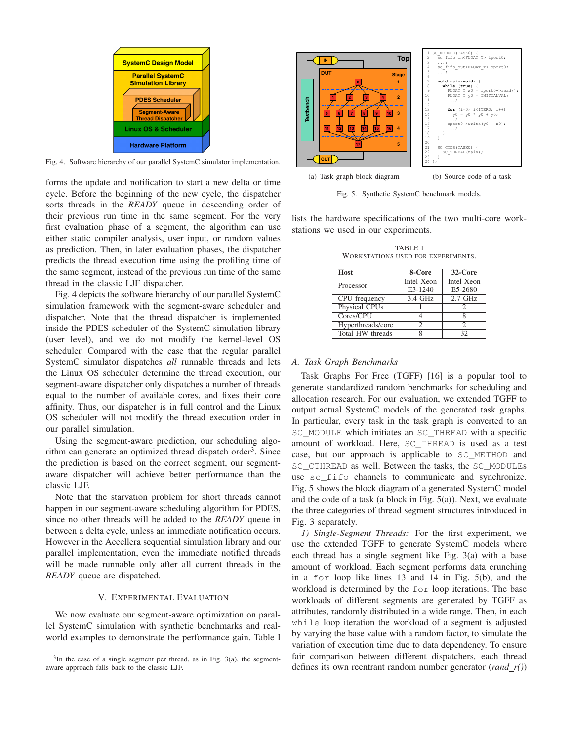

Fig. 4. Software hierarchy of our parallel SystemC simulator implementation.

forms the update and notification to start a new delta or time cycle. Before the beginning of the new cycle, the dispatcher sorts threads in the *READY* queue in descending order of their previous run time in the same segment. For the very first evaluation phase of a segment, the algorithm can use either static compiler analysis, user input, or random values as prediction. Then, in later evaluation phases, the dispatcher predicts the thread execution time using the profiling time of the same segment, instead of the previous run time of the same thread in the classic LJF dispatcher.

Fig. 4 depicts the software hierarchy of our parallel SystemC simulation framework with the segment-aware scheduler and dispatcher. Note that the thread dispatcher is implemented inside the PDES scheduler of the SystemC simulation library (user level), and we do not modify the kernel-level OS scheduler. Compared with the case that the regular parallel SystemC simulator dispatches *all* runnable threads and lets the Linux OS scheduler determine the thread execution, our segment-aware dispatcher only dispatches a number of threads equal to the number of available cores, and fixes their core affinity. Thus, our dispatcher is in full control and the Linux OS scheduler will not modify the thread execution order in our parallel simulation.

Using the segment-aware prediction, our scheduling algorithm can generate an optimized thread dispatch order<sup>3</sup>. Since the prediction is based on the correct segment, our segmentaware dispatcher will achieve better performance than the classic LJF.

Note that the starvation problem for short threads cannot happen in our segment-aware scheduling algorithm for PDES, since no other threads will be added to the *READY* queue in between a delta cycle, unless an immediate notification occurs. However in the Accellera sequential simulation library and our parallel implementation, even the immediate notified threads will be made runnable only after all current threads in the *READY* queue are dispatched.

## V. EXPERIMENTAL EVALUATION

We now evaluate our segment-aware optimization on parallel SystemC simulation with synthetic benchmarks and realworld examples to demonstrate the performance gain. Table I

 $3$ In the case of a single segment per thread, as in Fig. 3(a), the segmentaware approach falls back to the classic LJF.



Fig. 5. Synthetic SystemC benchmark models.

lists the hardware specifications of the two multi-core workstations we used in our experiments.

TABLE I WORKSTATIONS USED FOR EXPERIMENTS.

| Host              | 8-Core     | $32$ -Core |
|-------------------|------------|------------|
| Processor         | Intel Xeon | Intel Xeon |
|                   | E3-1240    | E5-2680    |
| CPU frequency     | 3.4 GHz    | $2.7$ GHz  |
| Physical CPUs     |            |            |
| Cores/CPU         |            |            |
| Hyperthreads/core |            |            |
| Total HW threads  |            | 32         |

#### *A. Task Graph Benchmarks*

Task Graphs For Free (TGFF) [16] is a popular tool to generate standardized random benchmarks for scheduling and allocation research. For our evaluation, we extended TGFF to output actual SystemC models of the generated task graphs. In particular, every task in the task graph is converted to an SC\_MODULE which initiates an SC\_THREAD with a specific amount of workload. Here, SC\_THREAD is used as a test case, but our approach is applicable to SC\_METHOD and SC\_CTHREAD as well. Between the tasks, the SC\_MODULEs use sc\_fifo channels to communicate and synchronize. Fig. 5 shows the block diagram of a generated SystemC model and the code of a task (a block in Fig.  $5(a)$ ). Next, we evaluate the three categories of thread segment structures introduced in Fig. 3 separately.

*1) Single-Segment Threads:* For the first experiment, we use the extended TGFF to generate SystemC models where each thread has a single segment like Fig. 3(a) with a base amount of workload. Each segment performs data crunching in a for loop like lines 13 and 14 in Fig. 5(b), and the workload is determined by the for loop iterations. The base workloads of different segments are generated by TGFF as attributes, randomly distributed in a wide range. Then, in each while loop iteration the workload of a segment is adjusted by varying the base value with a random factor, to simulate the variation of execution time due to data dependency. To ensure fair comparison between different dispatchers, each thread defines its own reentrant random number generator (*rand r()*)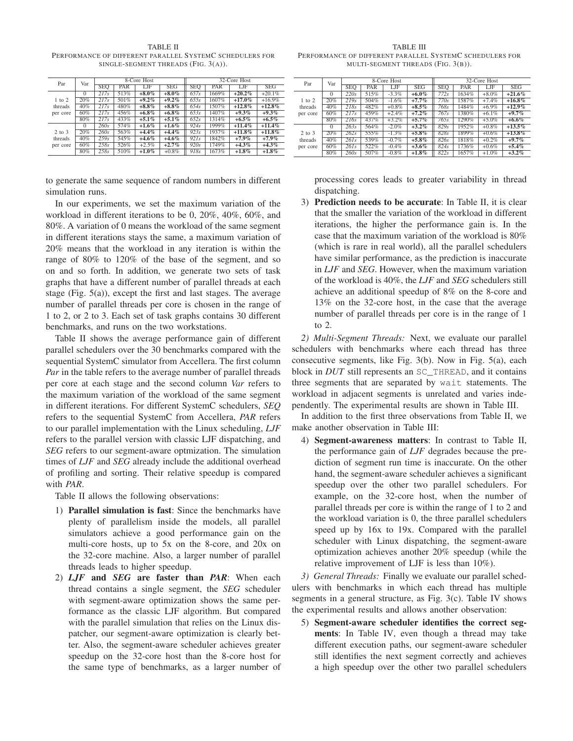TABLE II PERFORMANCE OF DIFFERENT PARALLEL SYSTEMC SCHEDULERS FOR SINGLE-SEGMENT THREADS (FIG. 3(A)).

| Par        | Var      |            |      | 8-Core Host |            | 32-Core Host |       |           |            |
|------------|----------|------------|------|-------------|------------|--------------|-------|-----------|------------|
|            |          | <b>SEO</b> | PAR  | LJF         | <b>SEG</b> | <b>SEO</b>   | PAR   | LJF       | <b>SEG</b> |
|            | $\Omega$ | 217s       | 513% | $+8.0\%$    | $+8.0\%$   | 657s         | 1669% | $+20.2%$  | $+20.1%$   |
| $1$ to $2$ | 20%      | 217s       | 501% | $+9.2\%$    | $+9.2\%$   | 655s         | 1607% | $+17.0\%$ | $+16.9%$   |
| threads    | 40%      | 217s       | 480% | $+8.8\%$    | $+8.8\%$   | 654s         | 1507% | $+12.8%$  | $+12.8%$   |
| per core   | 60%      | 217s       | 456% | $+6.8\%$    | $+6.8\%$   | 653s         | 1407% | $+9.3\%$  | $+9.3\%$   |
|            | 80%      | 217s       | 433% | $+5.1\%$    | $+5.1\%$   | 652s         | 1314% | $+6.5\%$  | $+6.5\%$   |
|            | $\Omega$ | 260s       | 574% | $+1.6\%$    | $+1.6\%$   | 924s         | 1999% | $+11.4%$  | $+11.4%$   |
| $2$ to $3$ | 20%      | 260s       | 563% | $+4.4%$     | $+4.4%$    | 923s         | 1937% | $+11.8\%$ | $+11.8\%$  |
| threads    | 40%      | 259s       | 545% | $+4.6\%$    | $+4.6\%$   | 921s         | 1842% | $+7.9\%$  | $+7.9\%$   |
| per core   | 60%      | 258s       | 526% | $+2.5%$     | $+2.7%$    | 920s         | 1749% | $+4.3%$   | $+4.3\%$   |
|            | 80%      | 258s       | 510% | $+1.0\%$    | $+0.8\%$   | 918s         | 1673% | $+1.8\%$  | $+1.8\%$   |

to generate the same sequence of random numbers in different simulation runs.

In our experiments, we set the maximum variation of the workload in different iterations to be 0, 20%, 40%, 60%, and 80%. A variation of 0 means the workload of the same segment in different iterations stays the same, a maximum variation of 20% means that the workload in any iteration is within the range of 80% to 120% of the base of the segment, and so on and so forth. In addition, we generate two sets of task graphs that have a different number of parallel threads at each stage (Fig. 5(a)), except the first and last stages. The average number of parallel threads per core is chosen in the range of 1 to 2, or 2 to 3. Each set of task graphs contains 30 different benchmarks, and runs on the two workstations.

Table II shows the average performance gain of different parallel schedulers over the 30 benchmarks compared with the sequential SystemC simulator from Accellera. The first column *Par* in the table refers to the average number of parallel threads per core at each stage and the second column *Var* refers to the maximum variation of the workload of the same segment in different iterations. For different SystemC schedulers, *SEQ* refers to the sequential SystemC from Accellera, *PAR* refers to our parallel implementation with the Linux scheduling, *LJF* refers to the parallel version with classic LJF dispatching, and *SEG* refers to our segment-aware optmization. The simulation times of *LJF* and *SEG* already include the additional overhead of profiling and sorting. Their relative speedup is compared with *PAR*.

Table II allows the following observations:

- 1) **Parallel simulation is fast**: Since the benchmarks have plenty of parallelism inside the models, all parallel simulators achieve a good performance gain on the multi-core hosts, up to 5x on the 8-core, and 20x on the 32-core machine. Also, a larger number of parallel threads leads to higher speedup.
- 2) *LJF* **and** *SEG* **are faster than** *PAR*: When each thread contains a single segment, the *SEG* scheduler with segment-aware optimization shows the same performance as the classic LJF algorithm. But compared with the parallel simulation that relies on the Linux dispatcher, our segment-aware optimization is clearly better. Also, the segment-aware scheduler achieves greater speedup on the 32-core host than the 8-core host for the same type of benchmarks, as a larger number of

TABLE III PERFORMANCE OF DIFFERENT PARALLEL SYSTEMC SCHEDULERS FOR MULTI-SEGMENT THREADS (FIG. 3(B)).

| Par        | Var      |            | 8-Core Host |          |            |            | 32-Core Host |          |            |  |
|------------|----------|------------|-------------|----------|------------|------------|--------------|----------|------------|--|
|            |          | <b>SEO</b> | PAR         | LJF      | <b>SEG</b> | <b>SEO</b> | PAR          | LJF      | <b>SEG</b> |  |
|            | $\Omega$ | 220s       | 515%        | $-3.3%$  | $+6.0\%$   | 772s       | 1634%        | $+8.0\%$ | $+21.6%$   |  |
| $1$ to $2$ | 20%      | 219s       | 504%        | $-1.6%$  | $+7.7%$    | 770s       | 1587%        | $+7.4%$  | $+16.8\%$  |  |
| threads    | 40%      | 218s       | 482%        | $+0.8\%$ | $+8.5\%$   | 768s       | 1484%        | $+6.9\%$ | $+12.9\%$  |  |
| per core   | 60%      | 217s       | 459%        | $+2.4%$  | $+7.2\%$   | 767s       | 1380%        | $+6.1%$  | $+9.7\%$   |  |
|            | 80%      | 216s       | 437%        | $+3.2%$  | $+5.7\%$   | 765s       | 1290%        | $+5.0\%$ | $+6.6\%$   |  |
|            | $\Omega$ | 263s       | 564%        | $-2.0%$  | $+3.2\%$   | 829s       | 1952%        | $+0.8\%$ | $+13.5%$   |  |
| 2 to 3     | 20%      | 262s       | 555%        | $-1.3%$  | $+5.8\%$   | 828s       | 1899%        | $+0.6%$  | $+13.8\%$  |  |
| threads    | 40%      | 26Is       | 539%        | $-0.7%$  | $+5.8\%$   | 826s       | 1818%        | $+0.2\%$ | $+9.7\%$   |  |
| per core   | 60%      | 26Is       | 522%        | $-0.4%$  | $+3.6\%$   | 824s       | 1736%        | $+0.6%$  | $+5.4%$    |  |
|            | 80%      | 260s       | 507%        | $-0.8\%$ | $+1.8\%$   | 822s       | 1657%        | $+1.0\%$ | $+3.2\%$   |  |

processing cores leads to greater variability in thread dispatching.

3) **Prediction needs to be accurate**: In Table II, it is clear that the smaller the variation of the workload in different iterations, the higher the performance gain is. In the case that the maximum variation of the workload is 80% (which is rare in real world), all the parallel schedulers have similar performance, as the prediction is inaccurate in *LJF* and *SEG*. However, when the maximum variation of the workload is 40%, the *LJF* and *SEG* schedulers still achieve an additional speedup of 8% on the 8-core and 13% on the 32-core host, in the case that the average number of parallel threads per core is in the range of 1 to 2.

*2) Multi-Segment Threads:* Next, we evaluate our parallel schedulers with benchmarks where each thread has three consecutive segments, like Fig. 3(b). Now in Fig. 5(a), each block in *DUT* still represents an SC\_THREAD, and it contains three segments that are separated by wait statements. The workload in adjacent segments is unrelated and varies independently. The experimental results are shown in Table III.

In addition to the first three observations from Table II, we make another observation in Table III:

4) **Segment-awareness matters**: In contrast to Table II, the performance gain of *LJF* degrades because the prediction of segment run time is inaccurate. On the other hand, the segment-aware scheduler achieves a significant speedup over the other two parallel schedulers. For example, on the 32-core host, when the number of parallel threads per core is within the range of 1 to 2 and the workload variation is 0, the three parallel schedulers speed up by 16x to 19x. Compared with the parallel scheduler with Linux dispatching, the segment-aware optimization achieves another 20% speedup (while the relative improvement of LJF is less than 10%).

*3) General Threads:* Finally we evaluate our parallel schedulers with benchmarks in which each thread has multiple segments in a general structure, as Fig. 3(c). Table IV shows the experimental results and allows another observation:

5) **Segment-aware scheduler identifies the correct segments**: In Table IV, even though a thread may take different execution paths, our segment-aware scheduler still identifies the next segment correctly and achieves a high speedup over the other two parallel schedulers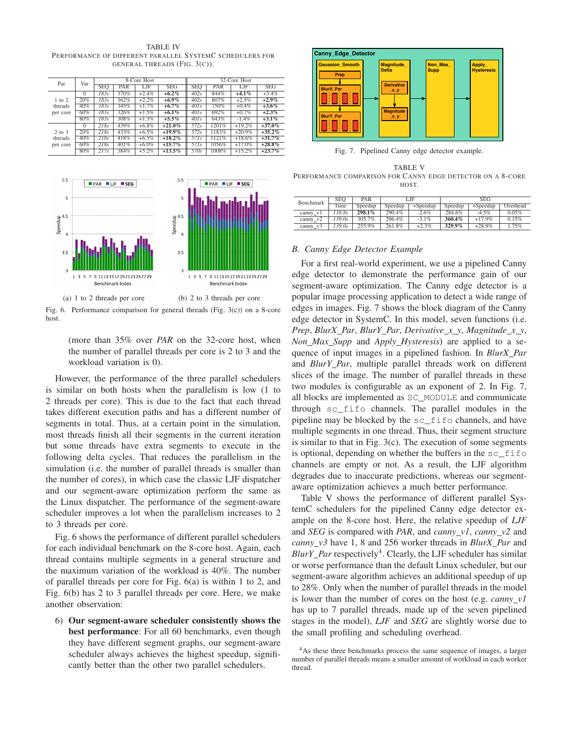TABLE IV PERFORMANCE OF DIFFERENT PARALLEL SYSTEMC SCHEDULERS FOR GENERAL THREADS (FIG. 3(C)).

| Par        | Var      | 8-Core Host |      |          |            | 32-Core Host      |       |          |            |
|------------|----------|-------------|------|----------|------------|-------------------|-------|----------|------------|
|            |          | <b>SEQ</b>  | PAR  | LJF      | <b>SEG</b> | SEO               | PAR   | LJF      | <b>SEG</b> |
|            | $\Omega$ | 1835        | 370% | $+2.4%$  | $+6.2\%$   | 402s              | 844%  | $+4.1%$  | $+3.4%$    |
| $1$ to $2$ | 20%      | 1835        | 362% | $+2.2%$  | $+6.9\%$   | 402s              | 807%  | $+2.5%$  | $+2.9\%$   |
| threads    | 40%      | 1835        | 345% | $+1.7%$  | $+6.7\%$   | $40$ Is           | 750%  | $+0.4\%$ | $+3.6\%$   |
| per core   | 60%      | 1835        | 326% | $+1.5\%$ | $+6.1\%$   | $40$ <sub>s</sub> | 692%  | $+0.7\%$ | $+2.3\%$   |
|            | 80%      | 1835        | 308% | $+1.3%$  | $+5.5\%$   | $40$ ls           | 643%  | $-1.4%$  | $+3.1\%$   |
|            | $\Omega$ | 218s        | 439% | $+6.8\%$ | $+21.0\%$  | 572s              | 1201% | $+19.2%$ | $+37.0%$   |
| $2$ to $3$ | 20%      | 218s        | 433% | $+6.5%$  | $+19.9\%$  | 572s              | 1183% | $+20.9%$ | $+35.2%$   |
| threads    | 40%      | 218s        | 418% | $+6.5\%$ | $+18.2\%$  | 571s              | 1121% | $+18.6%$ | $+31.7%$   |
| per core   | 60%      | 218s        | 401% | $+6.0\%$ | $+15.7%$   | 571s              | 1056% | $+17.0%$ | $+28.8\%$  |
|            | 80%      | 217s        | 384% | $+5.2%$  | $+13.5\%$  | 570s              | 1008% | $+15.2%$ | $+23.7\%$  |



Fig. 6. Performance comparison for general threads (Fig. 3(c)) on a 8-core host.

(more than 35% over *PAR* on the 32-core host, when the number of parallel threads per core is 2 to 3 and the workload variation is 0).

However, the performance of the three parallel schedulers is similar on both hosts when the parallelism is low (1 to 2 threads per core). This is due to the fact that each thread takes different execution paths and has a different number of segments in total. Thus, at a certain point in the simulation, most threads finish all their segments in the current iteration but some threads have extra segments to execute in the following delta cycles. That reduces the parallelism in the simulation (i.e. the number of parallel threads is smaller than the number of cores), in which case the classic LJF dispatcher and our segment-aware optimization perform the same as the Linux dispatcher. The performance of the segment-aware scheduler improves a lot when the parallelism increases to 2 to 3 threads per core.

Fig. 6 shows the performance of different parallel schedulers for each individual benchmark on the 8-core host. Again, each thread contains multiple segments in a general structure and the maximum variation of the workload is 40%. The number of parallel threads per core for Fig. 6(a) is within 1 to 2, and Fig. 6(b) has 2 to 3 parallel threads per core. Here, we make another observation:

6) **Our segment-aware scheduler consistently shows the best performance**: For all 60 benchmarks, even though they have different segment graphs, our segment-aware scheduler always achieves the highest speedup, significantly better than the other two parallel schedulers.



Fig. 7. Pipelined Canny edge detector example.

TABLE V PERFORMANCE COMPARISON FOR CANNY EDGE DETECTOR ON A 8-CORE HOST.

| <b>Benchmark</b> | SEO    | PAR     | <b>SEG</b><br>LJF     |          |         |            |          |
|------------------|--------|---------|-----------------------|----------|---------|------------|----------|
|                  | Time   | Speedup | $+Speedup$<br>Speedup |          | Speedup | $+Speedup$ | Overhead |
| canny v1         | 138.8s | 298.1%  | 290.4%                | $-2.6%$  | 284.6%  | $-4.5%$    | 0.05%    |
| canny $v2$       | 139.0s | 305.7%  | 296.4%                | $-3.1\%$ | 360.4%  | $+17.9%$   | 0.15%    |
| canny $v3$       | 139.0s | 255.9%  | 261.8%                | $+2.3%$  | 329.9%  | $+28.9%$   | 1.75%    |

#### *B. Canny Edge Detector Example*

For a first real-world experiment, we use a pipelined Canny edge detector to demonstrate the performance gain of our segment-aware optimization. The Canny edge detector is a popular image processing application to detect a wide range of edges in images. Fig. 7 shows the block diagram of the Canny edge detector in SystemC. In this model, seven functions (i.e. *Prep*, *BlurX Par*, *BlurY Par*, *Derivative x y*, *Magnitude x y*, *Non Max Supp* and *Apply Hysteresis*) are applied to a sequence of input images in a pipelined fashion. In *BlurX Par* and *BlurY Par*, multiple parallel threads work on different slices of the image. The number of parallel threads in these two modules is configurable as an exponent of 2. In Fig. 7, all blocks are implemented as SC\_MODULE and communicate through sc\_fifo channels. The parallel modules in the pipeline may be blocked by the sc\_fifo channels, and have multiple segments in one thread. Thus, their segment structure is similar to that in Fig.  $3(c)$ . The execution of some segments is optional, depending on whether the buffers in the sc\_fifo channels are empty or not. As a result, the LJF algorithm degrades due to inaccurate predictions, whereas our segmentaware optimization achieves a much better performance.

Table V shows the performance of different parallel SystemC schedulers for the pipelined Canny edge detector example on the 8-core host. Here, the relative speedup of *LJF* and *SEG* is compared with *PAR*, and *canny v1*, *canny v2* and *canny v3* have 1, 8 and 256 worker threads in *BlurX Par* and BlurY\_Par respectively<sup>4</sup>. Clearly, the LJF scheduler has similar or worse performance than the default Linux scheduler, but our segment-aware algorithm achieves an additional speedup of up to 28%. Only when the number of parallel threads in the model is lower than the number of cores on the host (e.g. *canny v1* has up to 7 parallel threads, made up of the seven pipelined stages in the model), *LJF* and *SEG* are slightly worse due to the small profiling and scheduling overhead.

<sup>&</sup>lt;sup>4</sup>As these three benchmarks process the same sequence of images, a larger number of parallel threads means a smaller amount of workload in each worker thread.